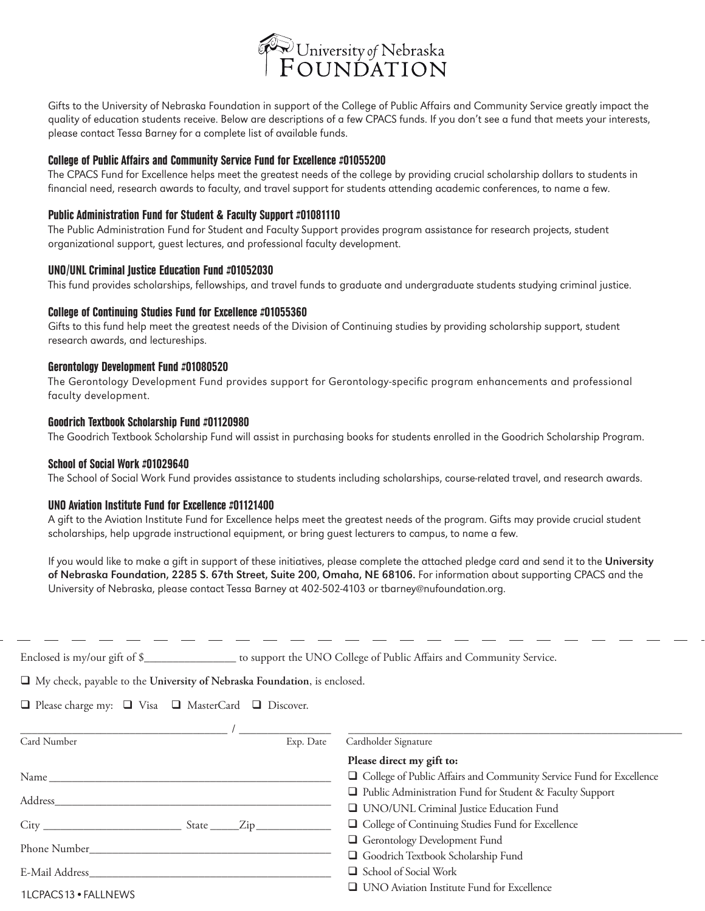

Gifts to the University of Nebraska Foundation in support of the College of Public Affairs and Community Service greatly impact the quality of education students receive. Below are descriptions of a few CPACS funds. If you don't see a fund that meets your interests, please contact Tessa Barney for a complete list of available funds.

# College of Public Affairs and Community Service Fund for Excellence #01055200

The CPACS Fund for Excellence helps meet the greatest needs of the college by providing crucial scholarship dollars to students in financial need, research awards to faculty, and travel support for students attending academic conferences, to name a few.

# Public Administration Fund for Student & Faculty Support #01081110

The Public Administration Fund for Student and Faculty Support provides program assistance for research projects, student organizational support, guest lectures, and professional faculty development.

### UNO/UNL Criminal Justice Education Fund #01052030

This fund provides scholarships, fellowships, and travel funds to graduate and undergraduate students studying criminal justice.

## College of Continuing Studies Fund for Excellence #01055360

Gifts to this fund help meet the greatest needs of the Division of Continuing studies by providing scholarship support, student research awards, and lectureships.

## Gerontology Development Fund #01080520

The Gerontology Development Fund provides support for Gerontology-specific program enhancements and professional faculty development.

### Goodrich Textbook Scholarship Fund #01120980

The Goodrich Textbook Scholarship Fund will assist in purchasing books for students enrolled in the Goodrich Scholarship Program.

### School of Social Work #01029640

The School of Social Work Fund provides assistance to students including scholarships, course-related travel, and research awards.

### UNO Aviation Institute Fund for Excellence #01121400

A gift to the Aviation Institute Fund for Excellence helps meet the greatest needs of the program. Gifts may provide crucial student scholarships, help upgrade instructional equipment, or bring guest lecturers to campus, to name a few.

If you would like to make a gift in support of these initiatives, please complete the attached pledge card and send it to the University of Nebraska Foundation, 2285 S. 67th Street, Suite 200, Omaha, NE 68106. For information about supporting CPACS and the University of Nebraska, please contact Tessa Barney at 402-502-4103 or tbarney@nufoundation.org.

| Enclosed is my/our gift of \$_ |  | _ to support the UNO College of Public Affairs and Community Service. |  |
|--------------------------------|--|-----------------------------------------------------------------------|--|
|--------------------------------|--|-----------------------------------------------------------------------|--|

□ My check, payable to the **University of Nebraska Foundation**, is enclosed.

 $\Box$  Please charge my:  $\Box$  Visa  $\Box$  MasterCard  $\Box$  Discover.

| Card Number          |  | Exp. Date | Cardholder Signature                                                  |
|----------------------|--|-----------|-----------------------------------------------------------------------|
|                      |  |           | Please direct my gift to:                                             |
| Name                 |  |           | □ College of Public Affairs and Community Service Fund for Excellence |
|                      |  |           | Public Administration Fund for Student & Faculty Support              |
| Address              |  |           | UNO/UNL Criminal Justice Education Fund                               |
| $City$ $City$        |  |           | □ College of Continuing Studies Fund for Excellence                   |
|                      |  |           | Gerontology Development Fund                                          |
| Phone Number         |  |           | Goodrich Textbook Scholarship Fund                                    |
| E-Mail Address       |  |           | School of Social Work                                                 |
| 1LCPACS13 • FALLNEWS |  |           | □ UNO Aviation Institute Fund for Excellence                          |